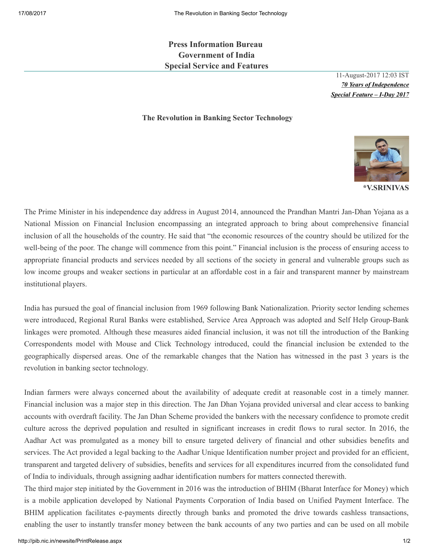Press Information Bureau Government of India Special Service and Features

> 11-August-2017 12:03 IST *70 Years of Independence Special Feature – I-Day 2017*

## The Revolution in Banking Sector Technology



The Prime Minister in his independence day address in August 2014, announced the Prandhan Mantri Jan-Dhan Yojana as a National Mission on Financial Inclusion encompassing an integrated approach to bring about comprehensive financial inclusion of all the households of the country. He said that "the economic resources of the country should be utilized for the well-being of the poor. The change will commence from this point." Financial inclusion is the process of ensuring access to appropriate financial products and services needed by all sections of the society in general and vulnerable groups such as low income groups and weaker sections in particular at an affordable cost in a fair and transparent manner by mainstream institutional players.

India has pursued the goal of financial inclusion from 1969 following Bank Nationalization. Priority sector lending schemes were introduced, Regional Rural Banks were established, Service Area Approach was adopted and Self Help Group-Bank linkages were promoted. Although these measures aided financial inclusion, it was not till the introduction of the Banking Correspondents model with Mouse and Click Technology introduced, could the financial inclusion be extended to the geographically dispersed areas. One of the remarkable changes that the Nation has witnessed in the past 3 years is the revolution in banking sector technology.

Indian farmers were always concerned about the availability of adequate credit at reasonable cost in a timely manner. Financial inclusion was a major step in this direction. The Jan Dhan Yojana provided universal and clear access to banking accounts with overdraft facility. The Jan Dhan Scheme provided the bankers with the necessary confidence to promote credit culture across the deprived population and resulted in significant increases in credit flows to rural sector. In 2016, the Aadhar Act was promulgated as a money bill to ensure targeted delivery of financial and other subsidies benefits and services. The Act provided a legal backing to the Aadhar Unique Identification number project and provided for an efficient, transparent and targeted delivery of subsidies, benefits and services for all expenditures incurred from the consolidated fund of India to individuals, through assigning aadhar identification numbers for matters connected therewith.

The third major step initiated by the Government in 2016 was the introduction of BHIM (Bharat Interface for Money) which is a mobile application developed by National Payments Corporation of India based on Unified Payment Interface. The BHIM application facilitates e-payments directly through banks and promoted the drive towards cashless transactions, enabling the user to instantly transfer money between the bank accounts of any two parties and can be used on all mobile